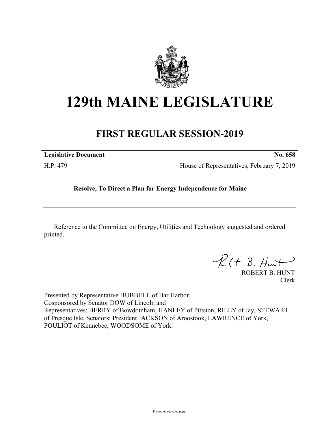

## **129th MAINE LEGISLATURE**

## **FIRST REGULAR SESSION-2019**

| <b>Legislative Document</b> | No. 658                                    |
|-----------------------------|--------------------------------------------|
| H.P. 479                    | House of Representatives, February 7, 2019 |

## **Resolve, To Direct a Plan for Energy Independence for Maine**

Reference to the Committee on Energy, Utilities and Technology suggested and ordered printed.

 $R(t B. Hmt)$ 

ROBERT B. HUNT Clerk

Presented by Representative HUBBELL of Bar Harbor. Cosponsored by Senator DOW of Lincoln and Representatives: BERRY of Bowdoinham, HANLEY of Pittston, RILEY of Jay, STEWART of Presque Isle, Senators: President JACKSON of Aroostook, LAWRENCE of York, POULIOT of Kennebec, WOODSOME of York.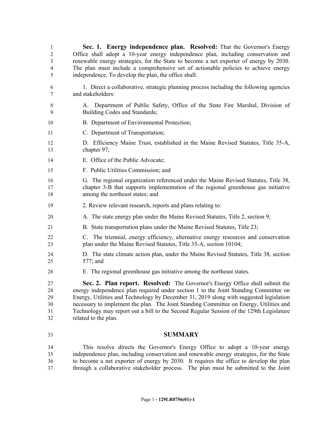| 1<br>$\overline{2}$<br>3<br>4<br>5 | Sec. 1. Energy independence plan. Resolved: That the Governor's Energy<br>Office shall adopt a 10-year energy independence plan, including conservation and<br>renewable energy strategies, for the State to become a net exporter of energy by 2030.<br>The plan must include a comprehensive set of actionable policies to achieve energy<br>independence. To develop the plan, the office shall:                                                                         |
|------------------------------------|-----------------------------------------------------------------------------------------------------------------------------------------------------------------------------------------------------------------------------------------------------------------------------------------------------------------------------------------------------------------------------------------------------------------------------------------------------------------------------|
| 6<br>7                             | 1. Direct a collaborative, strategic planning process including the following agencies<br>and stakeholders:                                                                                                                                                                                                                                                                                                                                                                 |
| $\,8\,$<br>9                       | Department of Public Safety, Office of the State Fire Marshal, Division of<br>A.<br>Building Codes and Standards;                                                                                                                                                                                                                                                                                                                                                           |
| 10                                 | B. Department of Environmental Protection;                                                                                                                                                                                                                                                                                                                                                                                                                                  |
| 11                                 | C. Department of Transportation;                                                                                                                                                                                                                                                                                                                                                                                                                                            |
| 12<br>13                           | D. Efficiency Maine Trust, established in the Maine Revised Statutes, Title 35-A,<br>chapter 97;                                                                                                                                                                                                                                                                                                                                                                            |
| 14                                 | E. Office of the Public Advocate;                                                                                                                                                                                                                                                                                                                                                                                                                                           |
| 15                                 | F. Public Utilities Commission; and                                                                                                                                                                                                                                                                                                                                                                                                                                         |
| 16<br>17<br>18                     | G. The regional organization referenced under the Maine Revised Statutes, Title 38,<br>chapter 3-B that supports implementation of the regional greenhouse gas initiative<br>among the northeast states; and                                                                                                                                                                                                                                                                |
| 19                                 | 2. Review relevant research, reports and plans relating to:                                                                                                                                                                                                                                                                                                                                                                                                                 |
| 20                                 | A. The state energy plan under the Maine Revised Statutes, Title 2, section 9;                                                                                                                                                                                                                                                                                                                                                                                              |
| 21                                 | B. State transportation plans under the Maine Revised Statutes, Title 23;                                                                                                                                                                                                                                                                                                                                                                                                   |
| 22<br>23                           | C. The triennial, energy efficiency, alternative energy resources and conservation<br>plan under the Maine Revised Statutes, Title 35-A, section 10104;                                                                                                                                                                                                                                                                                                                     |
| 24<br>25                           | D. The state climate action plan, under the Maine Revised Statutes, Title 38, section<br>$577$ ; and                                                                                                                                                                                                                                                                                                                                                                        |
| 26                                 | E. The regional greenhouse gas initiative among the northeast states.                                                                                                                                                                                                                                                                                                                                                                                                       |
| 27<br>28<br>29<br>30<br>31<br>32   | Sec. 2. Plan report. Resolved: The Governor's Energy Office shall submit the<br>energy independence plan required under section 1 to the Joint Standing Committee on<br>Energy, Utilities and Technology by December 31, 2019 along with suggested legislation<br>necessary to implement the plan. The Joint Standing Committee on Energy, Utilities and<br>Technology may report out a bill to the Second Regular Session of the 129th Legislature<br>related to the plan. |
| 33                                 | <b>SUMMARY</b>                                                                                                                                                                                                                                                                                                                                                                                                                                                              |
| 34<br>35<br>36                     | This resolve directs the Governor's Energy Office to adopt a 10-year energy<br>independence plan, including conservation and renewable energy strategies, for the State<br>to become a net exporter of energy by 2030. It requires the office to develop the plan                                                                                                                                                                                                           |

 to become a net exporter of energy by 2030. It requires the office to develop the plan through a collaborative stakeholder process. The plan must be submitted to the Joint